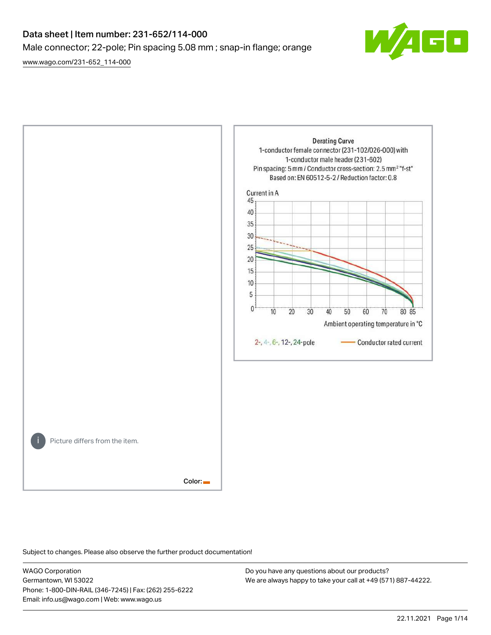# Data sheet | Item number: 231-652/114-000 Male connector; 22-pole; Pin spacing 5.08 mm ; snap-in flange; orange

[www.wago.com/231-652\\_114-000](http://www.wago.com/231-652_114-000)





Subject to changes. Please also observe the further product documentation!

WAGO Corporation Germantown, WI 53022 Phone: 1-800-DIN-RAIL (346-7245) | Fax: (262) 255-6222 Email: info.us@wago.com | Web: www.wago.us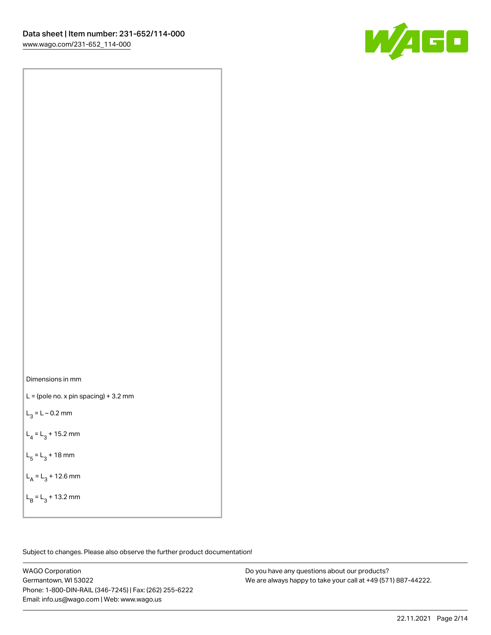



 $L =$  (pole no. x pin spacing) + 3.2 mm

 $L_3 = L - 0.2$  mm

 $L_4 = L_3 + 15.2$  mm

 $L_5 = L_3 + 18$  mm

 $L_A = L_3 + 12.6$  mm

 $L_B = L_3 + 13.2$  mm

Subject to changes. Please also observe the further product documentation!

WAGO Corporation Germantown, WI 53022 Phone: 1-800-DIN-RAIL (346-7245) | Fax: (262) 255-6222 Email: info.us@wago.com | Web: www.wago.us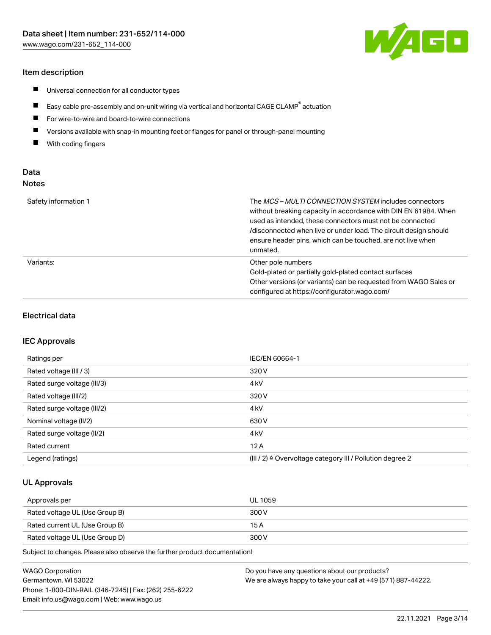## Item description

- $\blacksquare$ Universal connection for all conductor types
- $\blacksquare$ Easy cable pre-assembly and on-unit wiring via vertical and horizontal CAGE CLAMP<sup>®</sup> actuation
- $\blacksquare$ For wire-to-wire and board-to-wire connections
- $\blacksquare$ Versions available with snap-in mounting feet or flanges for panel or through-panel mounting
- $\blacksquare$ With coding fingers

## Data Notes

| Safety information 1 | The <i>MCS – MULTI CONNECTION SYSTEM</i> includes connectors<br>without breaking capacity in accordance with DIN EN 61984. When<br>used as intended, these connectors must not be connected<br>/disconnected when live or under load. The circuit design should<br>ensure header pins, which can be touched, are not live when<br>unmated. |
|----------------------|--------------------------------------------------------------------------------------------------------------------------------------------------------------------------------------------------------------------------------------------------------------------------------------------------------------------------------------------|
| Variants:            | Other pole numbers<br>Gold-plated or partially gold-plated contact surfaces<br>Other versions (or variants) can be requested from WAGO Sales or<br>configured at https://configurator.wago.com/                                                                                                                                            |

#### Electrical data

#### IEC Approvals

| Ratings per                 | IEC/EN 60664-1                                                        |
|-----------------------------|-----------------------------------------------------------------------|
| Rated voltage (III / 3)     | 320 V                                                                 |
| Rated surge voltage (III/3) | 4 <sub>k</sub> V                                                      |
| Rated voltage (III/2)       | 320 V                                                                 |
| Rated surge voltage (III/2) | 4 <sub>k</sub> V                                                      |
| Nominal voltage (II/2)      | 630 V                                                                 |
| Rated surge voltage (II/2)  | 4 <sub>kV</sub>                                                       |
| Rated current               | 12A                                                                   |
| Legend (ratings)            | $(III / 2)$ $\triangle$ Overvoltage category III / Pollution degree 2 |

## UL Approvals

| Approvals per                  | UL 1059 |
|--------------------------------|---------|
| Rated voltage UL (Use Group B) | 300 V   |
| Rated current UL (Use Group B) | 15 A    |
| Rated voltage UL (Use Group D) | 300 V   |

Subject to changes. Please also observe the further product documentation!

| <b>WAGO Corporation</b>                                | Do you have any questions about our products?                 |
|--------------------------------------------------------|---------------------------------------------------------------|
| Germantown, WI 53022                                   | We are always happy to take your call at +49 (571) 887-44222. |
| Phone: 1-800-DIN-RAIL (346-7245)   Fax: (262) 255-6222 |                                                               |
| Email: info.us@wago.com   Web: www.wago.us             |                                                               |

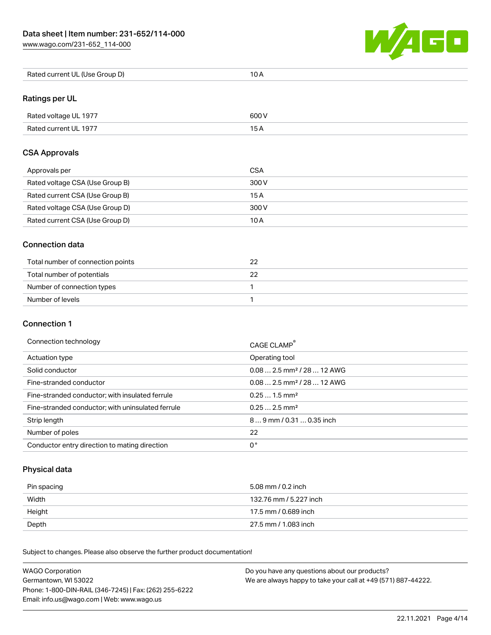[www.wago.com/231-652\\_114-000](http://www.wago.com/231-652_114-000)



| Rated current UL (Use Group D) | 10 A |
|--------------------------------|------|
|--------------------------------|------|

## Ratings per UL

| Rated voltage UL 1977 | 600 V |
|-----------------------|-------|
| Rated current UL 1977 |       |

## CSA Approvals

| Approvals per                   | CSA   |
|---------------------------------|-------|
| Rated voltage CSA (Use Group B) | 300 V |
| Rated current CSA (Use Group B) | 15 A  |
| Rated voltage CSA (Use Group D) | 300 V |
| Rated current CSA (Use Group D) | 10 A  |

#### Connection data

| Total number of connection points |  |
|-----------------------------------|--|
| Total number of potentials        |  |
| Number of connection types        |  |
| Number of levels                  |  |

## Connection 1

#### Connection technology CAGE CLAMP®

|                                                   | <b>CAGE CLAMP</b>                       |
|---------------------------------------------------|-----------------------------------------|
| Actuation type                                    | Operating tool                          |
| Solid conductor                                   | $0.08$ 2.5 mm <sup>2</sup> / 28  12 AWG |
| Fine-stranded conductor                           | $0.08$ 2.5 mm <sup>2</sup> / 28  12 AWG |
| Fine-stranded conductor; with insulated ferrule   | $0.251.5$ mm <sup>2</sup>               |
| Fine-stranded conductor; with uninsulated ferrule | $0.252.5$ mm <sup>2</sup>               |
| Strip length                                      | 89 mm / 0.31  0.35 inch                 |
| Number of poles                                   | 22                                      |
| Conductor entry direction to mating direction     | 0°                                      |

# Physical data

| Pin spacing | 5.08 mm / 0.2 inch     |
|-------------|------------------------|
| Width       | 132.76 mm / 5.227 inch |
| Height      | 17.5 mm / 0.689 inch   |
| Depth       | 27.5 mm / 1.083 inch   |

Subject to changes. Please also observe the further product documentation! Mechanical data

| <b>WAGO Corporation</b>                                | Do you have any questions about our products?                 |
|--------------------------------------------------------|---------------------------------------------------------------|
| Germantown, WI 53022                                   | We are always happy to take your call at +49 (571) 887-44222. |
| Phone: 1-800-DIN-RAIL (346-7245)   Fax: (262) 255-6222 |                                                               |
| Email: info.us@wago.com   Web: www.wago.us             |                                                               |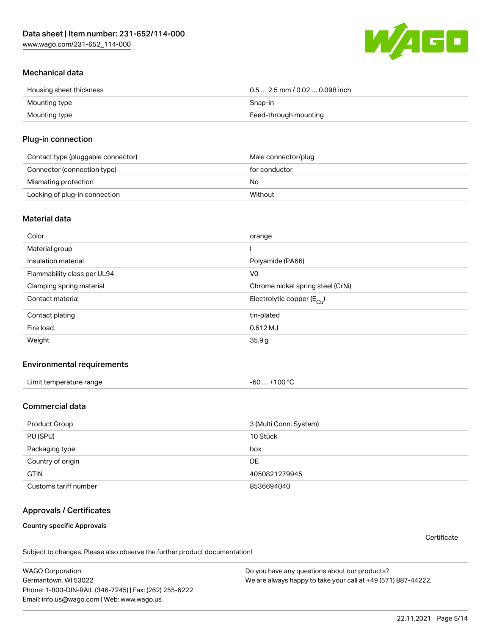[www.wago.com/231-652\\_114-000](http://www.wago.com/231-652_114-000)



## Mechanical data

| Housing sheet thickness | $0.5$ 2.5 mm / 0.02  0.098 inch |
|-------------------------|---------------------------------|
| Mounting type           | Snap-in                         |
| Mounting type           | Feed-through mounting           |

## Plug-in connection

| Contact type (pluggable connector) | Male connector/plug |
|------------------------------------|---------------------|
| Connector (connection type)        | for conductor       |
| Mismating protection               | No                  |
| Locking of plug-in connection      | Without             |

#### Material data

| Color                       | orange                                   |
|-----------------------------|------------------------------------------|
| Material group              |                                          |
| Insulation material         | Polyamide (PA66)                         |
| Flammability class per UL94 | V <sub>0</sub>                           |
| Clamping spring material    | Chrome nickel spring steel (CrNi)        |
| Contact material            | Electrolytic copper ( $E_{\text{CII}}$ ) |
| Contact plating             | tin-plated                               |
| Fire load                   | 0.612 MJ                                 |
| Weight                      | 35.9g                                    |

#### Environmental requirements

| Limit temperature range<br>the contract of the contract of the contract of the contract of the contract of the contract of the contract of | . +100 ℃<br>-60 |  |
|--------------------------------------------------------------------------------------------------------------------------------------------|-----------------|--|
|--------------------------------------------------------------------------------------------------------------------------------------------|-----------------|--|

## Commercial data

| Product Group         | 3 (Multi Conn. System) |
|-----------------------|------------------------|
| PU (SPU)              | 10 Stück               |
| Packaging type        | box                    |
| Country of origin     | DE                     |
| <b>GTIN</b>           | 4050821279945          |
| Customs tariff number | 8536694040             |

## Approvals / Certificates

Country specific Approvals

**Certificate** 

Subject to changes. Please also observe the further product documentation!

WAGO Corporation Germantown, WI 53022 Phone: 1-800-DIN-RAIL (346-7245) | Fax: (262) 255-6222 Email: info.us@wago.com | Web: www.wago.us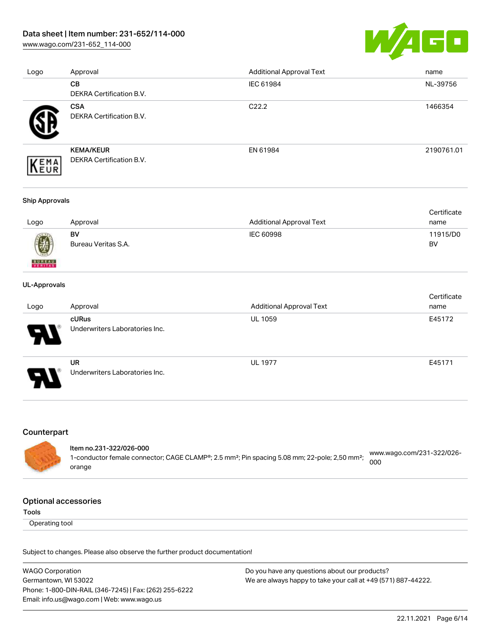[www.wago.com/231-652\\_114-000](http://www.wago.com/231-652_114-000)



| Logo | Approval                        | <b>Additional Approval Text</b> | name       |
|------|---------------------------------|---------------------------------|------------|
|      | <b>CB</b>                       | IEC 61984                       | NL-39756   |
|      | <b>DEKRA Certification B.V.</b> |                                 |            |
|      | <b>CSA</b>                      | C <sub>22.2</sub>               | 1466354    |
|      | DEKRA Certification B.V.        |                                 |            |
|      | <b>KEMA/KEUR</b>                | EN 61984                        | 2190761.01 |
| EMA  | <b>DEKRA Certification B.V.</b> |                                 |            |

#### Ship Approvals

|      |                     |                          | Certificate |
|------|---------------------|--------------------------|-------------|
| Logo | Approval            | Additional Approval Text | name        |
|      | BV                  | IEC 60998                | 11915/D0    |
| 0    | Bureau Veritas S.A. |                          | BV          |

#### UL-Approvals

**BUREAU** 

|                       |                                             |                                 | Certificate |
|-----------------------|---------------------------------------------|---------------------------------|-------------|
| Logo                  | Approval                                    | <b>Additional Approval Text</b> | name        |
| $\boldsymbol{\theta}$ | cURus<br>Underwriters Laboratories Inc.     | <b>UL 1059</b>                  | E45172      |
| 9.                    | <b>UR</b><br>Underwriters Laboratories Inc. | <b>UL 1977</b>                  | E45171      |

## Counterpart

#### Item no.231-322/026-000 1-conductor female connector; CAGE CLAMP®; 2.5 mm²; Pin spacing 5.08 mm; 22-pole; 2,50 mm²; [www.wago.com/231-322/026-](https://www.wago.com/231-322/026-000) [000](https://www.wago.com/231-322/026-000)

#### Optional accessories

orange

Tools

Operating tool

Subject to changes. Please also observe the further product documentation!

| <b>WAGO Corporation</b>                                | Do you have any questions about our products?                 |
|--------------------------------------------------------|---------------------------------------------------------------|
| Germantown, WI 53022                                   | We are always happy to take your call at +49 (571) 887-44222. |
| Phone: 1-800-DIN-RAIL (346-7245)   Fax: (262) 255-6222 |                                                               |
| Email: info.us@wago.com   Web: www.wago.us             |                                                               |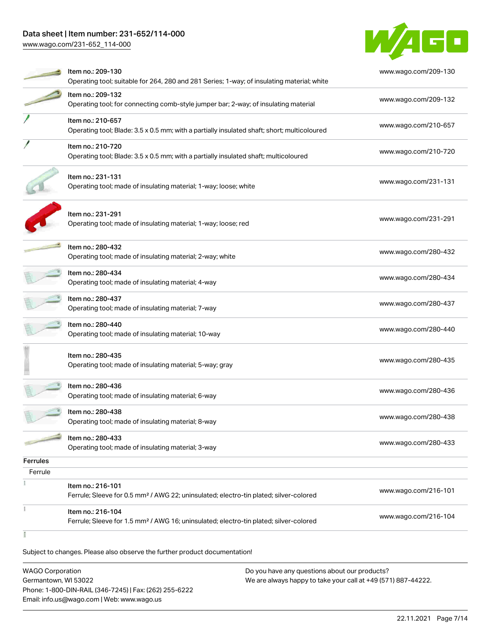[www.wago.com/231-652\\_114-000](http://www.wago.com/231-652_114-000)



|                 | Item no.: 209-130<br>Operating tool; suitable for 264, 280 and 281 Series; 1-way; of insulating material; white        | www.wago.com/209-130 |
|-----------------|------------------------------------------------------------------------------------------------------------------------|----------------------|
|                 | Item no.: 209-132<br>Operating tool; for connecting comb-style jumper bar; 2-way; of insulating material               | www.wago.com/209-132 |
|                 | Item no.: 210-657<br>Operating tool; Blade: 3.5 x 0.5 mm; with a partially insulated shaft; short; multicoloured       | www.wago.com/210-657 |
|                 | Item no.: 210-720<br>Operating tool; Blade: 3.5 x 0.5 mm; with a partially insulated shaft; multicoloured              | www.wago.com/210-720 |
|                 | Item no.: 231-131<br>Operating tool; made of insulating material; 1-way; loose; white                                  | www.wago.com/231-131 |
|                 | Item no.: 231-291<br>Operating tool; made of insulating material; 1-way; loose; red                                    | www.wago.com/231-291 |
|                 | Item no.: 280-432<br>Operating tool; made of insulating material; 2-way; white                                         | www.wago.com/280-432 |
|                 | Item no.: 280-434<br>Operating tool; made of insulating material; 4-way                                                | www.wago.com/280-434 |
|                 | Item no.: 280-437<br>Operating tool; made of insulating material; 7-way                                                | www.wago.com/280-437 |
|                 | Item no.: 280-440<br>Operating tool; made of insulating material; 10-way                                               | www.wago.com/280-440 |
|                 | Item no.: 280-435<br>Operating tool; made of insulating material; 5-way; gray                                          | www.wago.com/280-435 |
|                 | Item no.: 280-436<br>Operating tool; made of insulating material; 6-way                                                | www.wago.com/280-436 |
|                 | Item no.: 280-438<br>Operating tool; made of insulating material; 8-way                                                | www.wago.com/280-438 |
|                 | Item no.: 280-433<br>Operating tool; made of insulating material; 3-way                                                | www.wago.com/280-433 |
| <b>Ferrules</b> |                                                                                                                        |                      |
| Ferrule         |                                                                                                                        |                      |
|                 | Item no.: 216-101<br>Ferrule; Sleeve for 0.5 mm <sup>2</sup> / AWG 22; uninsulated; electro-tin plated; silver-colored | www.wago.com/216-101 |
| š               | Item no.: 216-104<br>Ferrule; Sleeve for 1.5 mm <sup>2</sup> / AWG 16; uninsulated; electro-tin plated; silver-colored | www.wago.com/216-104 |
|                 |                                                                                                                        |                      |

Subject to changes. Please also observe the further product documentation!

| <b>WAGO Corporation</b>                                | Do you have any questions about our products?                 |
|--------------------------------------------------------|---------------------------------------------------------------|
| Germantown, WI 53022                                   | We are always happy to take your call at +49 (571) 887-44222. |
| Phone: 1-800-DIN-RAIL (346-7245)   Fax: (262) 255-6222 |                                                               |
| Email: info.us@wago.com   Web: www.wago.us             |                                                               |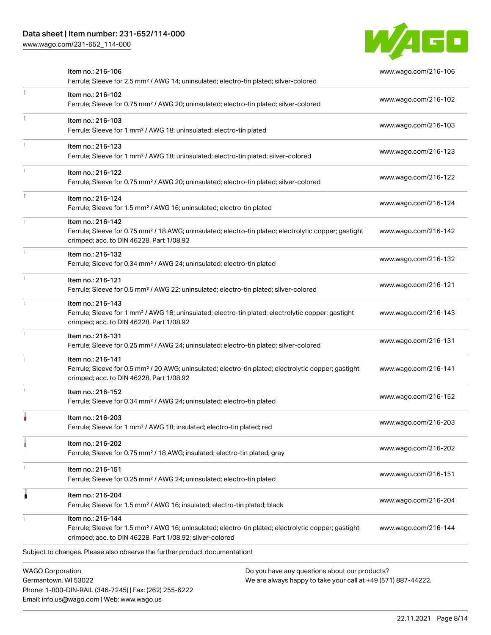Phone: 1-800-DIN-RAIL (346-7245) | Fax: (262) 255-6222

Email: info.us@wago.com | Web: www.wago.us

[www.wago.com/231-652\\_114-000](http://www.wago.com/231-652_114-000)



|                         | Item no.: 216-106<br>Ferrule; Sleeve for 2.5 mm <sup>2</sup> / AWG 14; uninsulated; electro-tin plated; silver-colored                                                                            |                                                                                                                | www.wago.com/216-106 |
|-------------------------|---------------------------------------------------------------------------------------------------------------------------------------------------------------------------------------------------|----------------------------------------------------------------------------------------------------------------|----------------------|
|                         | Item no.: 216-102<br>Ferrule; Sleeve for 0.75 mm <sup>2</sup> / AWG 20; uninsulated; electro-tin plated; silver-colored                                                                           |                                                                                                                | www.wago.com/216-102 |
|                         | Item no.: 216-103<br>Ferrule; Sleeve for 1 mm <sup>2</sup> / AWG 18; uninsulated; electro-tin plated                                                                                              |                                                                                                                | www.wago.com/216-103 |
|                         | Item no.: 216-123<br>Ferrule; Sleeve for 1 mm <sup>2</sup> / AWG 18; uninsulated; electro-tin plated; silver-colored                                                                              |                                                                                                                | www.wago.com/216-123 |
|                         | Item no.: 216-122<br>Ferrule; Sleeve for 0.75 mm <sup>2</sup> / AWG 20; uninsulated; electro-tin plated; silver-colored                                                                           |                                                                                                                | www.wago.com/216-122 |
|                         | Item no.: 216-124<br>Ferrule; Sleeve for 1.5 mm <sup>2</sup> / AWG 16; uninsulated; electro-tin plated                                                                                            |                                                                                                                | www.wago.com/216-124 |
|                         | Item no.: 216-142<br>Ferrule; Sleeve for 0.75 mm <sup>2</sup> / 18 AWG; uninsulated; electro-tin plated; electrolytic copper; gastight<br>crimped; acc. to DIN 46228, Part 1/08.92                |                                                                                                                | www.wago.com/216-142 |
|                         | Item no.: 216-132<br>Ferrule; Sleeve for 0.34 mm <sup>2</sup> / AWG 24; uninsulated; electro-tin plated                                                                                           |                                                                                                                | www.wago.com/216-132 |
|                         | Item no.: 216-121<br>Ferrule; Sleeve for 0.5 mm <sup>2</sup> / AWG 22; uninsulated; electro-tin plated; silver-colored                                                                            |                                                                                                                | www.wago.com/216-121 |
|                         | Item no.: 216-143<br>Ferrule; Sleeve for 1 mm <sup>2</sup> / AWG 18; uninsulated; electro-tin plated; electrolytic copper; gastight<br>crimped; acc. to DIN 46228, Part 1/08.92                   |                                                                                                                | www.wago.com/216-143 |
|                         | Item no.: 216-131<br>Ferrule; Sleeve for 0.25 mm <sup>2</sup> / AWG 24; uninsulated; electro-tin plated; silver-colored                                                                           |                                                                                                                | www.wago.com/216-131 |
|                         | Item no.: 216-141<br>Ferrule; Sleeve for 0.5 mm <sup>2</sup> / 20 AWG; uninsulated; electro-tin plated; electrolytic copper; gastight<br>crimped; acc. to DIN 46228, Part 1/08.92                 |                                                                                                                | www.wago.com/216-141 |
|                         | Item no.: 216-152<br>Ferrule; Sleeve for 0.34 mm <sup>2</sup> / AWG 24; uninsulated; electro-tin plated                                                                                           |                                                                                                                | www.wago.com/216-152 |
|                         | Item no.: 216-203<br>Ferrule; Sleeve for 1 mm <sup>2</sup> / AWG 18; insulated; electro-tin plated; red                                                                                           |                                                                                                                | www.wago.com/216-203 |
|                         | Item no.: 216-202<br>Ferrule; Sleeve for 0.75 mm <sup>2</sup> / 18 AWG; insulated; electro-tin plated; gray                                                                                       |                                                                                                                | www.wago.com/216-202 |
|                         | Item no.: 216-151<br>Ferrule; Sleeve for 0.25 mm <sup>2</sup> / AWG 24; uninsulated; electro-tin plated                                                                                           |                                                                                                                | www.wago.com/216-151 |
|                         | Item no.: 216-204<br>Ferrule; Sleeve for 1.5 mm <sup>2</sup> / AWG 16; insulated; electro-tin plated; black                                                                                       |                                                                                                                | www.wago.com/216-204 |
|                         | Item no.: 216-144<br>Ferrule; Sleeve for 1.5 mm <sup>2</sup> / AWG 16; uninsulated; electro-tin plated; electrolytic copper; gastight<br>crimped; acc. to DIN 46228, Part 1/08.92; silver-colored |                                                                                                                | www.wago.com/216-144 |
|                         | Subject to changes. Please also observe the further product documentation!                                                                                                                        |                                                                                                                |                      |
| <b>WAGO Corporation</b> | Germantown, WI 53022                                                                                                                                                                              | Do you have any questions about our products?<br>We are always happy to take your call at +49 (571) 887-44222. |                      |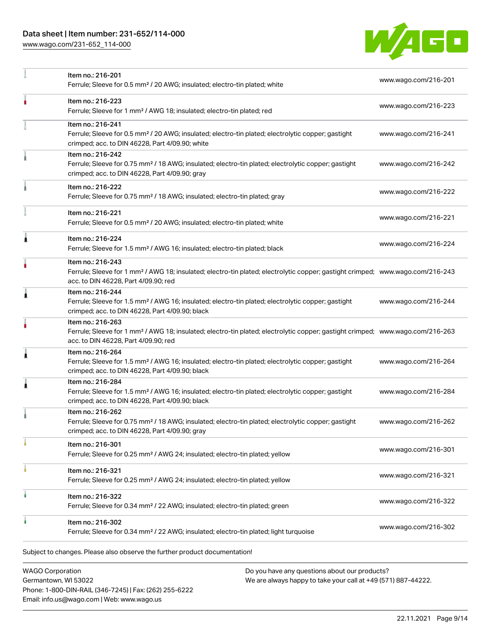[www.wago.com/231-652\\_114-000](http://www.wago.com/231-652_114-000)



|   | Item no.: 216-201<br>Ferrule; Sleeve for 0.5 mm <sup>2</sup> / 20 AWG; insulated; electro-tin plated; white                                                                                             | www.wago.com/216-201 |
|---|---------------------------------------------------------------------------------------------------------------------------------------------------------------------------------------------------------|----------------------|
|   | Item no.: 216-223<br>Ferrule; Sleeve for 1 mm <sup>2</sup> / AWG 18; insulated; electro-tin plated; red                                                                                                 | www.wago.com/216-223 |
|   | Item no.: 216-241<br>Ferrule; Sleeve for 0.5 mm <sup>2</sup> / 20 AWG; insulated; electro-tin plated; electrolytic copper; gastight<br>crimped; acc. to DIN 46228, Part 4/09.90; white                  | www.wago.com/216-241 |
|   | Item no.: 216-242<br>Ferrule; Sleeve for 0.75 mm <sup>2</sup> / 18 AWG; insulated; electro-tin plated; electrolytic copper; gastight<br>crimped; acc. to DIN 46228, Part 4/09.90; gray                  | www.wago.com/216-242 |
|   | Item no.: 216-222<br>Ferrule; Sleeve for 0.75 mm <sup>2</sup> / 18 AWG; insulated; electro-tin plated; gray                                                                                             | www.wago.com/216-222 |
|   | Item no.: 216-221<br>Ferrule; Sleeve for 0.5 mm <sup>2</sup> / 20 AWG; insulated; electro-tin plated; white                                                                                             | www.wago.com/216-221 |
| ٨ | Item no.: 216-224<br>Ferrule; Sleeve for 1.5 mm <sup>2</sup> / AWG 16; insulated; electro-tin plated; black                                                                                             | www.wago.com/216-224 |
|   | Item no.: 216-243<br>Ferrule; Sleeve for 1 mm <sup>2</sup> / AWG 18; insulated; electro-tin plated; electrolytic copper; gastight crimped; www.wago.com/216-243<br>acc. to DIN 46228, Part 4/09.90; red |                      |
| Â | Item no.: 216-244<br>Ferrule; Sleeve for 1.5 mm <sup>2</sup> / AWG 16; insulated; electro-tin plated; electrolytic copper; gastight<br>crimped; acc. to DIN 46228, Part 4/09.90; black                  | www.wago.com/216-244 |
|   | Item no.: 216-263<br>Ferrule; Sleeve for 1 mm <sup>2</sup> / AWG 18; insulated; electro-tin plated; electrolytic copper; gastight crimped; www.wago.com/216-263<br>acc. to DIN 46228, Part 4/09.90; red |                      |
| 1 | Item no.: 216-264<br>Ferrule; Sleeve for 1.5 mm <sup>2</sup> / AWG 16; insulated; electro-tin plated; electrolytic copper; gastight<br>crimped; acc. to DIN 46228, Part 4/09.90; black                  | www.wago.com/216-264 |
| 1 | Item no.: 216-284<br>Ferrule; Sleeve for 1.5 mm <sup>2</sup> / AWG 16; insulated; electro-tin plated; electrolytic copper; gastight<br>crimped; acc. to DIN 46228, Part 4/09.90; black                  | www.wago.com/216-284 |
|   | Item no.: 216-262<br>Ferrule; Sleeve for 0.75 mm <sup>2</sup> / 18 AWG; insulated; electro-tin plated; electrolytic copper; gastight<br>crimped; acc. to DIN 46228, Part 4/09.90; gray                  | www.wago.com/216-262 |
|   | Item no.: 216-301<br>Ferrule; Sleeve for 0.25 mm <sup>2</sup> / AWG 24; insulated; electro-tin plated; yellow                                                                                           | www.wago.com/216-301 |
|   | Item no.: 216-321<br>Ferrule; Sleeve for 0.25 mm <sup>2</sup> / AWG 24; insulated; electro-tin plated; yellow                                                                                           | www.wago.com/216-321 |
| ٠ | Item no.: 216-322<br>Ferrule; Sleeve for 0.34 mm <sup>2</sup> / 22 AWG; insulated; electro-tin plated; green                                                                                            | www.wago.com/216-322 |
|   | Item no.: 216-302<br>Ferrule; Sleeve for 0.34 mm <sup>2</sup> / 22 AWG; insulated; electro-tin plated; light turquoise                                                                                  | www.wago.com/216-302 |
|   | Subject to changes. Please also observe the further product documentation!                                                                                                                              |                      |

WAGO Corporation Germantown, WI 53022 Phone: 1-800-DIN-RAIL (346-7245) | Fax: (262) 255-6222 Email: info.us@wago.com | Web: www.wago.us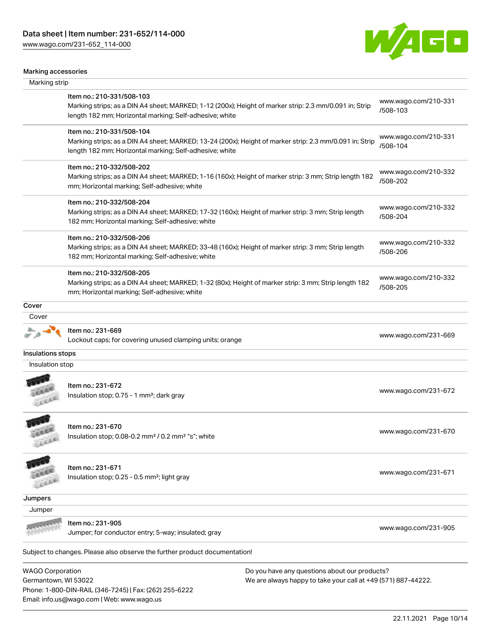Phone: 1-800-DIN-RAIL (346-7245) | Fax: (262) 255-6222

Email: info.us@wago.com | Web: www.wago.us

[www.wago.com/231-652\\_114-000](http://www.wago.com/231-652_114-000)



#### Marking accessories

| Marking strip           |                                                                                                                                                                    |                                                               |                                  |  |
|-------------------------|--------------------------------------------------------------------------------------------------------------------------------------------------------------------|---------------------------------------------------------------|----------------------------------|--|
|                         | Item no.: 210-331/508-103                                                                                                                                          |                                                               | www.wago.com/210-331             |  |
|                         | Marking strips; as a DIN A4 sheet; MARKED; 1-12 (200x); Height of marker strip: 2.3 mm/0.091 in; Strip<br>length 182 mm; Horizontal marking; Self-adhesive; white  |                                                               | /508-103                         |  |
|                         | Item no.: 210-331/508-104                                                                                                                                          |                                                               | www.wago.com/210-331             |  |
|                         | Marking strips; as a DIN A4 sheet; MARKED; 13-24 (200x); Height of marker strip: 2.3 mm/0.091 in; Strip<br>length 182 mm; Horizontal marking; Self-adhesive; white |                                                               | /508-104                         |  |
|                         | Item no.: 210-332/508-202                                                                                                                                          |                                                               | www.wago.com/210-332<br>/508-202 |  |
|                         | Marking strips; as a DIN A4 sheet; MARKED; 1-16 (160x); Height of marker strip: 3 mm; Strip length 182<br>mm; Horizontal marking; Self-adhesive; white             |                                                               |                                  |  |
|                         | Item no.: 210-332/508-204                                                                                                                                          |                                                               | www.wago.com/210-332             |  |
|                         | Marking strips; as a DIN A4 sheet; MARKED; 17-32 (160x); Height of marker strip: 3 mm; Strip length<br>182 mm; Horizontal marking; Self-adhesive; white            |                                                               | /508-204                         |  |
|                         | Item no.: 210-332/508-206                                                                                                                                          |                                                               | www.wago.com/210-332             |  |
|                         | Marking strips; as a DIN A4 sheet; MARKED; 33-48 (160x); Height of marker strip: 3 mm; Strip length<br>182 mm; Horizontal marking; Self-adhesive; white            |                                                               | /508-206                         |  |
|                         | Item no.: 210-332/508-205                                                                                                                                          |                                                               | www.wago.com/210-332             |  |
|                         | Marking strips; as a DIN A4 sheet; MARKED; 1-32 (80x); Height of marker strip: 3 mm; Strip length 182<br>mm; Horizontal marking; Self-adhesive; white              |                                                               | /508-205                         |  |
| Cover                   |                                                                                                                                                                    |                                                               |                                  |  |
| Cover                   |                                                                                                                                                                    |                                                               |                                  |  |
|                         | Item no.: 231-669                                                                                                                                                  |                                                               | www.wago.com/231-669             |  |
|                         | Lockout caps; for covering unused clamping units; orange                                                                                                           |                                                               |                                  |  |
| Insulations stops       |                                                                                                                                                                    |                                                               |                                  |  |
| Insulation stop         |                                                                                                                                                                    |                                                               |                                  |  |
|                         | Item no.: 231-672                                                                                                                                                  |                                                               |                                  |  |
| LEEEL                   | Insulation stop; 0.75 - 1 mm <sup>2</sup> ; dark gray                                                                                                              |                                                               | www.wago.com/231-672             |  |
|                         | Item no.: 231-670                                                                                                                                                  |                                                               |                                  |  |
| EEEE                    | lnsulation stop; 0.08-0.2 mm <sup>2</sup> / 0.2 mm <sup>2</sup> "s"; white                                                                                         |                                                               | www.wago.com/231-670             |  |
|                         | Item no.: 231-671                                                                                                                                                  |                                                               |                                  |  |
|                         | Insulation stop; 0.25 - 0.5 mm <sup>2</sup> ; light gray                                                                                                           |                                                               | www.wago.com/231-671             |  |
| Jumpers                 |                                                                                                                                                                    |                                                               |                                  |  |
| Jumper                  |                                                                                                                                                                    |                                                               |                                  |  |
|                         | Item no.: 231-905<br>Jumper; for conductor entry; 5-way; insulated; gray                                                                                           |                                                               | www.wago.com/231-905             |  |
|                         | Subject to changes. Please also observe the further product documentation!                                                                                         |                                                               |                                  |  |
| <b>WAGO Corporation</b> |                                                                                                                                                                    | Do you have any questions about our products?                 |                                  |  |
| Germantown, WI 53022    |                                                                                                                                                                    | We are always happy to take your call at +49 (571) 887-44222. |                                  |  |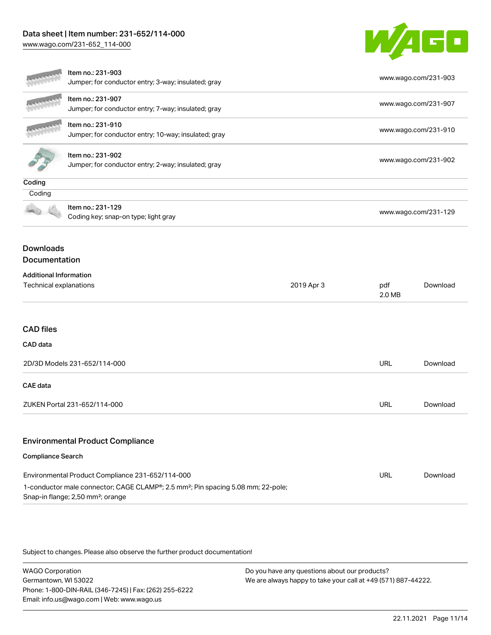[www.wago.com/231-652\\_114-000](http://www.wago.com/231-652_114-000)



|                                                                                                                                                                                                   | Item no.: 231-903<br>Jumper; for conductor entry; 3-way; insulated; gray  |            |                      | www.wago.com/231-903 |  |
|---------------------------------------------------------------------------------------------------------------------------------------------------------------------------------------------------|---------------------------------------------------------------------------|------------|----------------------|----------------------|--|
|                                                                                                                                                                                                   | Item no.: 231-907<br>Jumper; for conductor entry; 7-way; insulated; gray  |            | www.wago.com/231-907 |                      |  |
|                                                                                                                                                                                                   | Item no.: 231-910<br>Jumper; for conductor entry; 10-way; insulated; gray |            |                      | www.wago.com/231-910 |  |
| Item no.: 231-902<br>Jumper; for conductor entry; 2-way; insulated; gray                                                                                                                          |                                                                           |            |                      | www.wago.com/231-902 |  |
| Coding                                                                                                                                                                                            |                                                                           |            |                      |                      |  |
| Coding                                                                                                                                                                                            |                                                                           |            |                      |                      |  |
|                                                                                                                                                                                                   | Item no.: 231-129<br>Coding key; snap-on type; light gray                 |            |                      | www.wago.com/231-129 |  |
| <b>Downloads</b><br><b>Documentation</b>                                                                                                                                                          |                                                                           |            |                      |                      |  |
| <b>Additional Information</b>                                                                                                                                                                     |                                                                           |            |                      |                      |  |
| Technical explanations                                                                                                                                                                            |                                                                           | 2019 Apr 3 | pdf<br>2.0 MB        | Download             |  |
| <b>CAD files</b>                                                                                                                                                                                  |                                                                           |            |                      |                      |  |
| CAD data                                                                                                                                                                                          |                                                                           |            |                      |                      |  |
| 2D/3D Models 231-652/114-000                                                                                                                                                                      |                                                                           | <b>URL</b> | Download             |                      |  |
| <b>CAE</b> data                                                                                                                                                                                   |                                                                           |            |                      |                      |  |
| ZUKEN Portal 231-652/114-000                                                                                                                                                                      |                                                                           |            | <b>URL</b>           | Download             |  |
|                                                                                                                                                                                                   | <b>Environmental Product Compliance</b>                                   |            |                      |                      |  |
| <b>Compliance Search</b>                                                                                                                                                                          |                                                                           |            |                      |                      |  |
| Environmental Product Compliance 231-652/114-000<br>1-conductor male connector; CAGE CLAMP®; 2.5 mm <sup>2</sup> ; Pin spacing 5.08 mm; 22-pole;<br>Snap-in flange; 2,50 mm <sup>2</sup> ; orange |                                                                           |            |                      | Download             |  |

Subject to changes. Please also observe the further product documentation!

WAGO Corporation Germantown, WI 53022 Phone: 1-800-DIN-RAIL (346-7245) | Fax: (262) 255-6222 Email: info.us@wago.com | Web: www.wago.us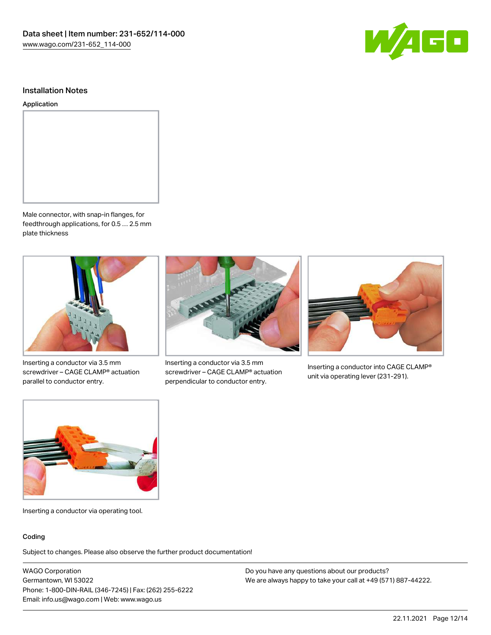

#### Installation Notes

#### Application



Male connector, with snap-in flanges, for feedthrough applications, for 0.5 … 2.5 mm plate thickness



Inserting a conductor via 3.5 mm screwdriver – CAGE CLAMP® actuation parallel to conductor entry.



Inserting a conductor via 3.5 mm screwdriver – CAGE CLAMP® actuation perpendicular to conductor entry.



Inserting a conductor into CAGE CLAMP® unit via operating lever (231-291).



Inserting a conductor via operating tool.

#### Coding

Subject to changes. Please also observe the further product documentation!

WAGO Corporation Germantown, WI 53022 Phone: 1-800-DIN-RAIL (346-7245) | Fax: (262) 255-6222 Email: info.us@wago.com | Web: www.wago.us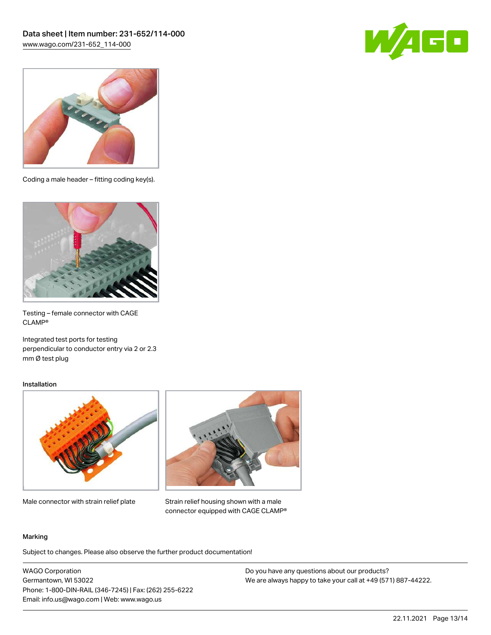



Coding a male header – fitting coding key(s).



Testing – female connector with CAGE CLAMP®

Integrated test ports for testing perpendicular to conductor entry via 2 or 2.3 mm Ø test plug

#### Installation



Male connector with strain relief plate



Strain relief housing shown with a male connector equipped with CAGE CLAMP®

#### Marking

Subject to changes. Please also observe the further product documentation!

WAGO Corporation Germantown, WI 53022 Phone: 1-800-DIN-RAIL (346-7245) | Fax: (262) 255-6222 Email: info.us@wago.com | Web: www.wago.us